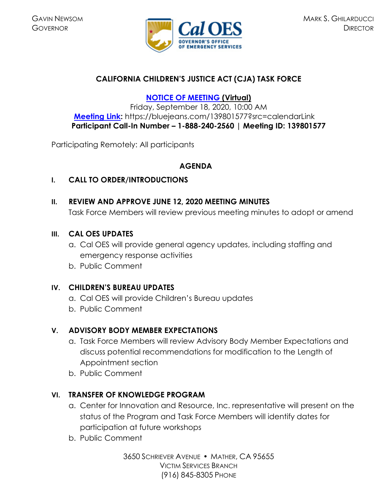

## **CALIFORNIA CHILDREN'S JUSTICE ACT (CJA) TASK FORCE**

### **[NOTICE OF MEETING](https://www.caloes.ca.gov/cal-oes-divisions/grants-management/victim-services/meeting-public-notices) (Virtual)**

Friday, September 18, 2020, 10:00 AM **[Meeting Link:](https://bluejeans.com/139801577?src=calendarLink)** https://bluejeans.com/139801577?src=calendarLink **Participant Call-In Number – 1-888-240-2560 | Meeting ID: 139801577** 

Participating Remotely: All participants

# **AGENDA**

#### **I. CALL TO ORDER/INTRODUCTIONS**

**II. REVIEW AND APPROVE JUNE 12, 2020 MEETING MINUTES**  Task Force Members will review previous meeting minutes to adopt or amend

#### **III. CAL OES UPDATES**

- a. Cal OES will provide general agency updates, including staffing and emergency response activities
- b. Public Comment

## **IV. CHILDREN'S BUREAU UPDATES**

- a. Cal OES will provide Children's Bureau updates
- b. Public Comment

## **V. ADVISORY BODY MEMBER EXPECTATIONS**

- a. Task Force Members will review Advisory Body Member Expectations and discuss potential recommendations for modification to the Length of Appointment section
- b. Public Comment

## **VI. TRANSFER OF KNOWLEDGE PROGRAM**

- a. Center for Innovation and Resource, Inc. representative will present on the status of the Program and Task Force Members will identify dates for participation at future workshops
- b. Public Comment

3650 SCHRIEVER AVENUE MATHER, CA 95655 VICTIM SERVICES BRANCH (916) 845-8305 PHONE